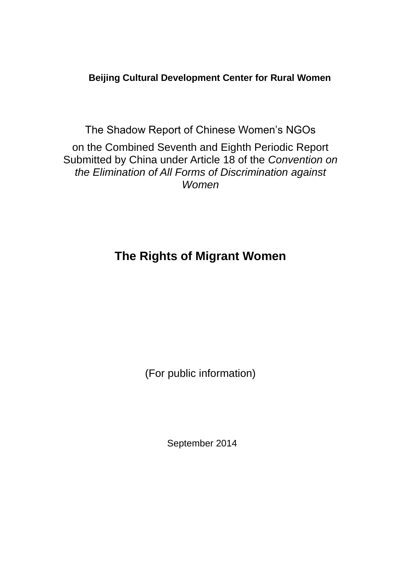### **Beijing Cultural Development Center for Rural Women**

The Shadow Report of Chinese Women's NGOs on the Combined Seventh and Eighth Periodic Report Submitted by China under Article 18 of the *Convention on the Elimination of All Forms of Discrimination against Women*

# **The Rights of Migrant Women**

(For public information)

September 2014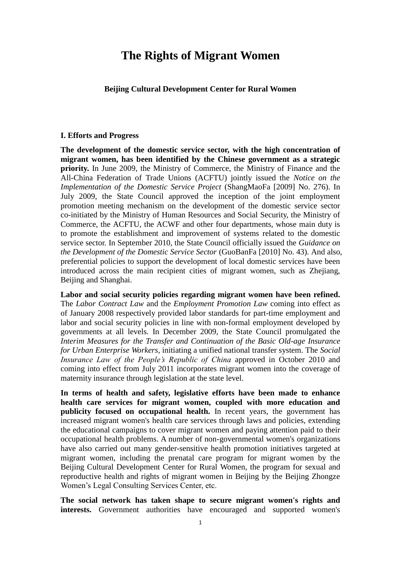## **The Rights of Migrant Women**

#### **Beijing Cultural Development Center for Rural Women**

#### **I. Efforts and Progress**

**The development of the domestic service sector, with the high concentration of migrant women, has been identified by the Chinese government as a strategic priority.** In June 2009, the Ministry of Commerce, the Ministry of Finance and the All-China Federation of Trade Unions (ACFTU) jointly issued the *Notice on the Implementation of the Domestic Service Project* (ShangMaoFa [2009] No. 276). In July 2009, the State Council approved the inception of the joint employment promotion meeting mechanism on the development of the domestic service sector co-initiated by the Ministry of Human Resources and Social Security, the Ministry of Commerce, the ACFTU, the ACWF and other four departments, whose main duty is to promote the establishment and improvement of systems related to the domestic service sector. In September 2010, the State Council officially issued the *Guidance on the Development of the Domestic Service Sector* (GuoBanFa [2010] No. 43). And also, preferential policies to support the development of local domestic services have been introduced across the main recipient cities of migrant women, such as Zhejiang, Beijing and Shanghai.

**Labor and social security policies regarding migrant women have been refined.**  The *Labor Contract Law* and the *Employment Promotion Law* coming into effect as of January 2008 respectively provided labor standards for part-time employment and labor and social security policies in line with non-formal employment developed by governments at all levels. In December 2009, the State Council promulgated the *Interim Measures for the Transfer and Continuation of the Basic Old-age Insurance for Urban Enterprise Workers*, initiating a unified national transfer system. The *Social Insurance Law of the People's Republic of China* approved in October 2010 and coming into effect from July 2011 incorporates migrant women into the coverage of maternity insurance through legislation at the state level.

**In terms of health and safety, legislative efforts have been made to enhance health care services for migrant women, coupled with more education and publicity focused on occupational health.** In recent years, the government has increased migrant women's health care services through laws and policies, extending the educational campaigns to cover migrant women and paying attention paid to their occupational health problems. A number of non-governmental women's organizations have also carried out many gender-sensitive health promotion initiatives targeted at migrant women, including the prenatal care program for migrant women by the Beijing Cultural Development Center for Rural Women, the program for sexual and reproductive health and rights of migrant women in Beijing by the Beijing Zhongze Women's Legal Consulting Services Center, etc.

**The social network has taken shape to secure migrant women's rights and interests.** Government authorities have encouraged and supported women's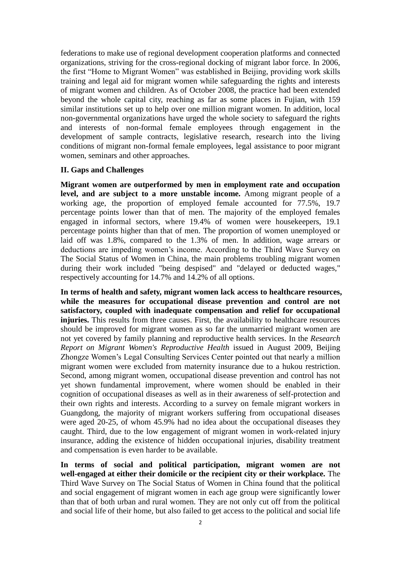federations to make use of regional development cooperation platforms and connected organizations, striving for the cross-regional docking of migrant labor force. In 2006, the first "Home to Migrant Women" was established in Beijing, providing work skills training and legal aid for migrant women while safeguarding the rights and interests of migrant women and children. As of October 2008, the practice had been extended beyond the whole capital city, reaching as far as some places in Fujian, with 159 similar institutions set up to help over one million migrant women. In addition, local non-governmental organizations have urged the whole society to safeguard the rights and interests of non-formal female employees through engagement in the development of sample contracts, legislative research, research into the living conditions of migrant non-formal female employees, legal assistance to poor migrant women, seminars and other approaches.

#### **II. Gaps and Challenges**

**Migrant women are outperformed by men in employment rate and occupation level, and are subject to a more unstable income.** Among migrant people of a working age, the proportion of employed female accounted for 77.5%, 19.7 percentage points lower than that of men. The majority of the employed females engaged in informal sectors, where 19.4% of women were housekeepers, 19.1 percentage points higher than that of men. The proportion of women unemployed or laid off was 1.8%, compared to the 1.3% of men. In addition, wage arrears or deductions are impeding women's income. According to the Third Wave Survey on The Social Status of Women in China, the main problems troubling migrant women during their work included "being despised" and "delayed or deducted wages," respectively accounting for 14.7% and 14.2% of all options.

**In terms of health and safety, migrant women lack access to healthcare resources, while the measures for occupational disease prevention and control are not satisfactory, coupled with inadequate compensation and relief for occupational injuries.** This results from three causes. First, the availability to healthcare resources should be improved for migrant women as so far the unmarried migrant women are not yet covered by family planning and reproductive health services. In the *Research Report on Migrant Women's Reproductive Health* issued in August 2009, Beijing Zhongze Women's Legal Consulting Services Center pointed out that nearly a million migrant women were excluded from maternity insurance due to a hukou restriction. Second, among migrant women, occupational disease prevention and control has not yet shown fundamental improvement, where women should be enabled in their cognition of occupational diseases as well as in their awareness of self-protection and their own rights and interests. According to a survey on female migrant workers in Guangdong, the majority of migrant workers suffering from occupational diseases were aged 20-25, of whom 45.9% had no idea about the occupational diseases they caught. Third, due to the low engagement of migrant women in work-related injury insurance, adding the existence of hidden occupational injuries, disability treatment and compensation is even harder to be available.

**In terms of social and political participation, migrant women are not well-engaged at either their domicile or the recipient city or their workplace.** The Third Wave Survey on The Social Status of Women in China found that the political and social engagement of migrant women in each age group were significantly lower than that of both urban and rural women. They are not only cut off from the political and social life of their home, but also failed to get access to the political and social life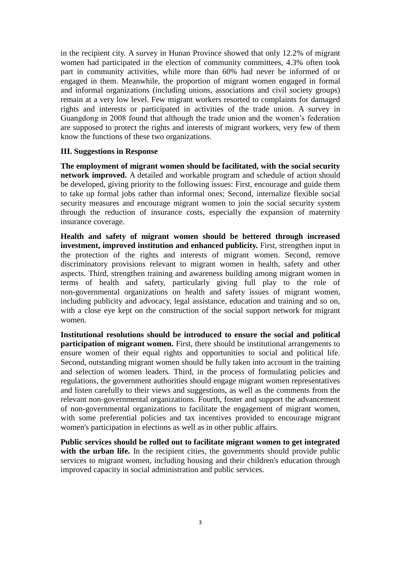in the recipient city. A survey in Hunan Province showed that only 12.2% of migrant women had participated in the election of community committees, 4.3% often took part in community activities, while more than 60% had never be informed of or engaged in them. Meanwhile, the proportion of migrant women engaged in formal and informal organizations (including unions, associations and civil society groups) remain at a very low level. Few migrant workers resorted to complaints for damaged rights and interests or participated in activities of the trade union. A survey in Guangdong in 2008 found that although the trade union and the women's federation are supposed to protect the rights and interests of migrant workers, very few of them know the functions of these two organizations.

#### **III. Suggestions in Response**

**The employment of migrant women should be facilitated, with the social security network improved.** A detailed and workable program and schedule of action should be developed, giving priority to the following issues: First, encourage and guide them to take up formal jobs rather than informal ones; Second, internalize flexible social security measures and encourage migrant women to join the social security system through the reduction of insurance costs, especially the expansion of maternity insurance coverage.

**Health and safety of migrant women should be bettered through increased investment, improved institution and enhanced publicity.** First, strengthen input in the protection of the rights and interests of migrant women. Second, remove discriminatory provisions relevant to migrant women in health, safety and other aspects. Third, strengthen training and awareness building among migrant women in terms of health and safety, particularly giving full play to the role of non-governmental organizations on health and safety issues of migrant women, including publicity and advocacy, legal assistance, education and training and so on, with a close eye kept on the construction of the social support network for migrant women.

**Institutional resolutions should be introduced to ensure the social and political participation of migrant women.** First, there should be institutional arrangements to ensure women of their equal rights and opportunities to social and political life. Second, outstanding migrant women should be fully taken into account in the training and selection of women leaders. Third, in the process of formulating policies and regulations, the government authorities should engage migrant women representatives and listen carefully to their views and suggestions, as well as the comments from the relevant non-governmental organizations. Fourth, foster and support the advancement of non-governmental organizations to facilitate the engagement of migrant women, with some preferential policies and tax incentives provided to encourage migrant women's participation in elections as well as in other public affairs.

**Public services should be rolled out to facilitate migrant women to get integrated**  with the urban life. In the recipient cities, the governments should provide public services to migrant women, including housing and their children's education through improved capacity in social administration and public services.